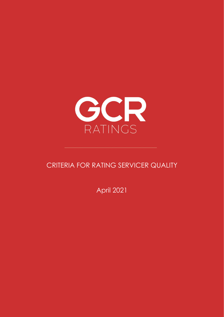

# CRITERIA FOR RATING SERVICER QUALITY

April 2021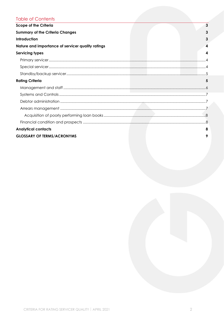## **Table of Contents**

| <b>Scope of the Criteria</b>                      | $\overline{3}$ |
|---------------------------------------------------|----------------|
| <b>Summary of the Criteria Changes</b>            | 3              |
| <b>Introduction</b>                               | 3              |
| Nature and importance of servicer quality ratings | 4              |
| <b>Servicing types</b>                            | 4              |
|                                                   |                |
|                                                   |                |
|                                                   |                |
| <b>Rating Criteria</b>                            | 5              |
|                                                   |                |
|                                                   |                |
|                                                   |                |
|                                                   |                |
|                                                   |                |
|                                                   |                |
| <b>Analytical contacts</b>                        | 8              |
| <b>GLOSSARY OF TERMS/ACRONYMS</b>                 |                |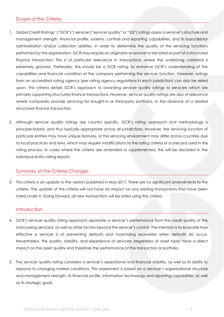## <span id="page-2-0"></span>Scope of the Criteria

- 1. Global Credit Ratings' ("GCR's") servicer ("servicer quality" or "SQ") ratings assess a servicer's structure and management strength, financial profile, systems, controls and reporting capabilities, and its loan/debtor administration and/or collection abilities, in order to determine the quality of the servicing functions performed by the organisation. GCR may require an originator or servicer to be rated as part of a structured finance transaction. This is of particular relevance in transactions where the underlying collateral is extremely granular. Preferably, this should be a GCR rating, to enhance GCR's understanding of the capabilities and financial condition of the company performing the servicer function. However, ratings from an accredited rating agency (per rating agency regulations in each jurisdiction) can also be relied upon. This criteria details GCR's approach to awarding servicer quality ratings to servicers which are primarily supporting structured finance transactions. However, servicer quality ratings are also of relevance where companies provide servicing for bought-in or third-party portfolios, in the absence of a related structured finance transaction.
- 2. Although servicer quality ratings are country specific, GCR's rating approach and methodology is principle-based, and thus typically appropriate across all jurisdictions. However, the servicing function of particular entities may have unique features, or the servicing environment may differ across countries due to local practices and laws, which may require modifications to the rating criteria or scorecard used in the rating process. In cases where the criteria are amended or supplemented, this will be disclosed in the individual entity rating reports.

## <span id="page-2-1"></span>Summary of the Criteria Changes

3. This criteria is an update to the version published in May 2017. There are no significant amendments to the criteria. The update of this criteria will not have an impact on any existing transactions that have been rated under it. Going forward, all new transactions will be rated using this criteria.

#### <span id="page-2-2"></span>**Introduction**

- 4. GCR's servicer quality rating approach separates a servicer's performance from the credit quality of the loans being serviced, as well as other factors beyond the servicer's control. The intention is to evaluate how effective a servicer is at preventing defaults and maximizing recoveries when defaults do occur. Nevertheless, the quality, stability, and experience of servicers (regardless of asset type) have a direct impact on the asset quality and therefore the performance of the transaction or portfolio.
- 5. The servicer quality rating considers a servicer's operational and financial stability, as well as its ability to respond to changing market conditions. This assessment is based on a servicer's organisational structure and management strength, its financial profile, information technology and reporting capabilities, as well as its strategic goals.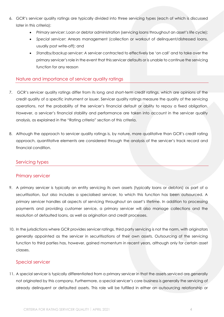- 6. GCR's servicer quality ratings are typically divided into three servicing types (each of which is discussed later in this criteria):
	- *Primary servicer*: Loan or debtor administration (servicing loans throughout an asset's life cycle);
	- *Special servicer*: Arrears management (collection or workout of delinquent/distressed loans, usually post write-off); and
	- *Standby/backup servicer: A* servicer contracted to effectively be 'on call' and to take over the primary servicer's role in the event that this servicer defaults or is unable to continue the servicing function for any reason

## <span id="page-3-0"></span>Nature and importance of servicer quality ratings

- 7. GCR's servicer quality ratings differ from its long and short-term credit ratings, which are opinions of the credit quality of a specific instrument or issuer. Servicer quality ratings measure the quality of the servicing operations, not the probability of the servicer's financial default or ability to repay a fixed obligation. However, a servicer's financial stability and performance are taken into account in the servicer quality analysis, as explained in the "Rating criteria" section of this criteria.
- 8. Although the approach to servicer quality ratings is, by nature, more qualitative than GCR's credit rating approach, quantitative elements are considered through the analysis of the servicer's track record and financial condition.

## <span id="page-3-1"></span>Servicing types

## <span id="page-3-2"></span>Primary servicer

- 9. A primary servicer is typically an entity servicing its own assets (typically loans or debtors) as part of a securitisation, but also includes a specialised servicer, to which this function has been outsourced. A primary servicer handles all aspects of servicing throughout an asset's lifetime. In addition to processing payments and providing customer service, a primary servicer will also manage collections and the resolution of defaulted loans, as well as origination and credit processes.
- 10. In the jurisdictions where GCR provides servicer ratings, third party servicing is not the norm, with originators generally appointed as the servicer in securitisations of their own assets. Outsourcing of the servicing function to third parties has, however, gained momentum in recent years, although only for certain asset classes.

## <span id="page-3-3"></span>Special servicer

11. A special servicer is typically differentiated from a primary servicer in that the assets serviced are generally not originated by this company. Furthermore, a special servicer's core business is generally the servicing of already delinquent or defaulted assets. This role will be fulfilled in either an outsourcing relationship or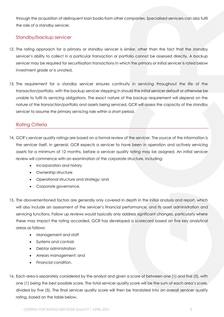through the acquisition of delinquent loan books from other companies. Specialised servicers can also fulfil the role of a standby servicer.

## <span id="page-4-0"></span>Standby/backup servicer

- 12. The rating approach for a primary or standby servicer is similar, other than the fact that the standby servicer's ability to collect in a particular transaction or portfolio cannot be assessed directly. A backup servicer may be required for securitisation transactions in which the primary or initial servicer is rated below investment grade or is unrated.
- 13. The requirement for a standby servicer ensures continuity in servicing throughout the life of the transaction/portfolio, with the backup servicer stepping in should the initial servicer default or otherwise be unable to fulfil its servicing obligations. The exact nature of the backup requirement will depend on the nature of the transaction/portfolio and assets being serviced. GCR will assess the capacity of the standby servicer to assume the primary servicing role within a short period.

## <span id="page-4-1"></span>Rating Criteria

- 14. GCR's servicer quality ratings are based on a formal review of the servicer. The source of the information is the servicer itself. In general, GCR expects a servicer to have been in operation and actively servicing assets for a minimum of 12 months, before a servicer quality rating may be assigned. An initial servicer review will commence with an examination of the corporate structure, including:
	- Incorporation and history
	- Ownership structure
	- Operational structure and strategy; and
	- Corporate governance.
- 15. The abovementioned factors are generally only covered in depth in the initial analysis and report, which will also include an assessment of the servicer's financial performance, and its asset administration and servicing functions. Follow up reviews would typically only address significant changes, particularly where these may impact the rating accorded. GCR has developed a scorecard based on five key analytical areas as follows:
	- Management and staff
	- Systems and controls
	- Debtor administration
	- Arrears management; and
	- Financial condition.
- 16. Each area is separately considered by the analyst and given a score of between one (1) and five (5), with one (1) being the best possible score. The total servicer quality score will be the sum of each area's score, divided by five (5). The final servicer quality score will then be translated into an overall servicer quality rating, based on the table below.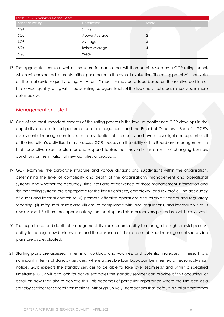| Table 1: GCR Servicer Rating Score |                      |       |  |  |  |
|------------------------------------|----------------------|-------|--|--|--|
| <b>Servicer Rating</b>             | Description          | Score |  |  |  |
| SQ1                                | Strong               |       |  |  |  |
| SQ2                                | Above Average        |       |  |  |  |
| SQ3                                | Average              |       |  |  |  |
| SQ4                                | <b>Below Average</b> |       |  |  |  |
| SQ5                                | Weak                 |       |  |  |  |

17. The aggregate score, as well as the score for each area, will then be discussed by a GCR rating panel, which will consider adjustments, either per area or to the overall evaluation. The rating panel will then vote on the final servicer quality rating. A "+" or "-" modifier may be added based on the relative position of the servicer quality rating within each rating category. Each of the five analytical areas is discussed in more detail below.

## <span id="page-5-0"></span>Management and staff

- 18. One of the most important aspects of the rating process is the level of confidence GCR develops in the capability and continued performance of management, and the Board of Directors ("Board"). GCR's assessment of management includes the evaluation of the quality and level of oversight and support of all of the institution's activities. In this process, GCR focuses on the ability of the Board and management, in their respective roles, to plan for and respond to risks that may arise as a result of changing business conditions or the initiation of new activities or products.
- 19. GCR examines the corporate structure and various divisions and subdivisions within the organisation, determining the level of complexity and depth of the organisation's management and operational systems, and whether the accuracy, timeliness and effectiveness of those management information and risk monitoring systems are appropriate for the institution's size, complexity, and risk profile. The adequacy of audits and internal controls to: (i) promote effective operations and reliable financial and regulatory reporting; (ii) safeguard assets; and (iii) ensure compliance with laws, regulations, and internal policies, is also assessed. Furthermore, appropriate system backup and disaster recovery procedures will be reviewed.
- 20. The experience and depth of management, its track record, ability to manage through stressful periods, ability to manage new business lines, and the presence of clear and established management succession plans are also evaluated.
- 21. Staffing plans are assessed in terms of workload and volumes, and potential increases in these. This is significant in terms of standby servicers, where a sizeable loan book can be inherited at reasonably short notice. GCR expects the standby servicer to be able to take over seamlessly and within a specified timeframe. GCR will also look for active examples the standby servicer can provide of this occurring, or detail on how they aim to achieve this. This becomes of particular importance where the firm acts as a standby servicer for several transactions. Although unlikely, transactions that default in similar timeframes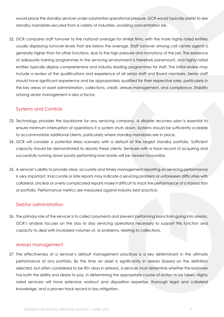would place the standby servicer under substantial operational pressure. GCR would typically prefer to see standby mandates secured from a variety of industries, avoiding concentration risk.

22. GCR compares staff turnover to the national average for similar firms, with the more highly rated entities usually displaying turnover levels that are below the average. Staff turnover among call centre agents is generally higher than for other functions, due to the high pressure and monotony of the job. The existence of adequate training programmes in the servicing environment is therefore paramount, and highly rated entities typically display comprehensive and industry leading programmes for staff. The initial review may include a review of the qualifications and experience of all senior staff and Board members. Senior staff should have significant experience and be appropriately qualified for their respective roles, particularly in the key areas of asset administration, collections, credit, arrears management, and compliance. Stability among senior management is also a factor.

## <span id="page-6-0"></span>Systems and Controls

- 23. Technology provides the backbone for any servicing company. A disaster recovery plan is essential to ensure minimum interruption of operations if a system shuts down. Systems should be sufficiently scalable to accommodate additional clients, particularly where standby mandates are in place.
- 24. GCR will consider a potential stress scenario with a default of the largest standby portfolio. Sufficient capacity should be demonstrated to absorb these clients. Servicers with a track record of acquiring and successfully running down poorly performing loan books will be viewed favourably.
- 25. A servicer's ability to provide clear, accurate and timely management reporting on servicing performance is very important. Inaccurate or late reports may indicate a servicing problem or unforeseen difficulties with collateral. Unclear or overly complicated reports make it difficult to track the performance of a transaction or portfolio. Performance metrics are measured against industry best practice.

## <span id="page-6-1"></span>Debtor administration

26. The primary role of the servicer is to collect payments and prevent performing loans from going into arrears. GCR's analysis focuses on the day to day servicing operations necessary to support this function and capacity to deal with increased volumes of, or problems, relating to collections.

## <span id="page-6-2"></span>Arrears management

27. The effectiveness of a servicer's default management practices is a key determinant in the ultimate performance of any portfolio. By the time an asset is significantly in arrears (based on the definition selected, but often considered to be 90+ days in arrears), a servicer must determine whether the borrower has both the ability and desire to pay, in determining the appropriate course of action to be taken. Highly rated servicers will have extensive workout and disposition expertise, thorough legal and collateral knowledge, and a proven track record in loss mitigation.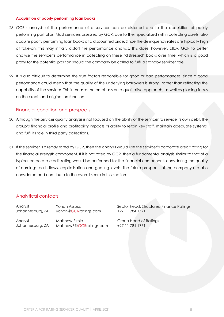#### <span id="page-7-0"></span>**Acquisition of poorly performing loan books**

- 28. GCR's analysis of the performance of a servicer can be distorted due to the acquisition of poorly performing portfolios. Most servicers assessed by GCR, due to their specialised skill in collecting assets, also acquire poorly performing loan books at a discounted price. Since the delinquency rates are typically high at take-on, this may initially distort the performance analysis. This does, however, allow GCR to better analyse the servicer's performance in collecting on these "distressed" books over time, which is a good proxy for the potential position should the company be called to fulfil a standby servicer role.
- 29. It is also difficult to determine the true factors responsible for good or bad performances, since a good performance could mean that the quality of the underlying borrowers is strong, rather than reflecting the capability of the servicer. This increases the emphasis on a qualitative approach, as well as placing focus on the credit and origination function.

#### <span id="page-7-1"></span>Financial condition and prospects

- 30. Although the servicer quality analysis is not focused on the ability of the servicer to service its own debt, the group's financial profile and profitability impacts its ability to retain key staff, maintain adequate systems, and fulfil its role in third party collections.
- 31. If the servicer is already rated by GCR, then the analysis would use the servicer's corporate credit rating for the financial strength component. If it is not rated by GCR, then a fundamental analysis similar to that of a typical corporate credit rating would be performed for the financial component, considering the quality of earnings, cash flows, capitalisation and gearing levels. The future prospects of the company are also considered and contribute to the overall score in this section.

## <span id="page-7-2"></span>Analytical contacts

Johannesburg, ZA yohan@GCRratings.com +27 11 784 1771

Analyst Matthew Pirnie Group Head of Ratings Johannesburg, ZA [MatthewP@GCRratings.com](mailto:MatthewP@GCRratings.com) +27 11 784 1771

Analyst Tohan Assous Sector head: Structured Finance Ratings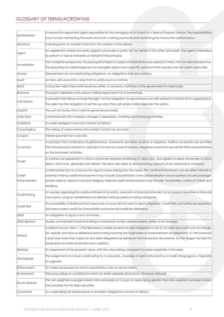# <span id="page-8-0"></span>GLOSSARY OF TERMS/ACRONYMS

| Administrator        | A transaction appointed agent responsible for the managing of a Conduit or a Special Purpose Vehicle. The responsibilities                                                                                                |
|----------------------|---------------------------------------------------------------------------------------------------------------------------------------------------------------------------------------------------------------------------|
|                      | may include maintaining the bank accounts, making payments and monitoring the transaction performance.                                                                                                                    |
| Advance              | A lending term, to transfer funds from the creditor to the debtor.                                                                                                                                                        |
| Agent                | An agreement where one party (agent) concludes a juristic act on behalf of the other (principal). The agent undertakes                                                                                                    |
|                      | to perform a task or mandate on behalf of the principal.                                                                                                                                                                  |
| Amortisation         | From a liability perspective, the paying off of debt in a series of installments over a period of time. From an asset perspective,                                                                                        |
|                      | the spreading of capital expenses for intangible assets over a specific period of time (usually over the asset's useful life).                                                                                            |
| Arrears              | General term for non-performing obligations, i.e. obligations that are overdue.                                                                                                                                           |
| Asset                | An item with economic value that an entity owns or controls.                                                                                                                                                              |
| Bond                 | A long term debt instrument issued by either: a company, institution or the government to raise funds.                                                                                                                    |
| Borrower             | The party indebted or the person making repayments for its borrowings.                                                                                                                                                    |
| Call Option          | A provision that allows an Issuer the right, not the obligation, to repurchase a security before its maturity at an agreed price.                                                                                         |
|                      | The seller has the obligation to sell the security if the call option holder exercises the option.                                                                                                                        |
| Capital              | The sum of money that is used to generate proceeds.                                                                                                                                                                       |
| Cash Flow            | A financial term for monetary changes in operations, investing and financing activities.                                                                                                                                  |
| Collateral           | An asset pledged as security in event of default.                                                                                                                                                                         |
| Commingling          | The mixing of various transaction parties' funds in an account.                                                                                                                                                           |
| Coupon               | Interest payment on a security.                                                                                                                                                                                           |
|                      | A provision that is indicative of performance. Covenants are either positive or negative. Positive covenants are activities                                                                                               |
| Covenant             | that the borrower commits to, typically in its normal course of business. Negative covenants are certain limits and restrictions                                                                                          |
|                      | on the borrowers' activities.                                                                                                                                                                                             |
| Credit               | A contractual agreement in which a borrower receives something of value now, and agrees to repay the lender at some                                                                                                       |
|                      | date in the future, generally with interest. The term also refers to the borrowing capacity of an individual or company                                                                                                   |
|                      | Limited protection to a transaction against losses arising from the assets. The credit enhancement can be either internal or                                                                                              |
| Credit               | external. Internal credit enhancement may include: Subordination; over-collateralisation; excess spread; security package;                                                                                                |
| Enhancement          | arrears reserve; reserve fund and hedging. External credit enhancement may include: Guarantees; Letters of Credit and                                                                                                     |
|                      | hedging.                                                                                                                                                                                                                  |
| Credit Rating        | An opinion regarding the creditworthiness of an entity, a security or financial instrument, or an issuer of securities or financial<br>instruments, using an established and defined ranking system of rating categories. |
|                      | The probability or likelihood that a borrower or issuer will not meet its debt obligations. Credit Risk can further be separated                                                                                          |
| Credit Risk          | between current credit risk (immediate) and potential credit risk (deferred).                                                                                                                                             |
| Debt                 | An obligation to repay a sum of money.                                                                                                                                                                                    |
| Debt Sponsor         | Usually as Investment bank that brings a transaction to the capital markets, similar to an Arranger.                                                                                                                      |
|                      | A default occurs when: 1.) The Borrower is unable to repay its debt obligations in full; 2.) A credit-loss event such as charge-                                                                                          |
|                      | off, specific provision or distressed restructuring involving the forgiveness or postponement of obligations; 3.) The borrower                                                                                            |
| Default              | is past due more than X days on any debt obligations as defined in the transaction documents; 4.) The obligor has filed for                                                                                               |
|                      | bankruptcy or similar protection from creditors.                                                                                                                                                                          |
| Desktop              | An assessment of the property value, with the value being compared to similar properties in the area.                                                                                                                     |
|                      | The assignment of a lower credit rating to a corporate, sovereign of debt instrument by a credit rating agency. Opposite                                                                                                  |
| Downgrade            | of upgrade.                                                                                                                                                                                                               |
| Enforcement          | To make sure people do what is required by a law or rule et cetera.                                                                                                                                                       |
| Environment          | The surroundings or conditions in which an entity operates (Economic, Financial, Natural).                                                                                                                                |
| <b>Excess Spread</b> | The net weighted average interest rate receivable on a pool of assets being greater than the weighted average interest                                                                                                    |
|                      | rate payable for the debt securities.                                                                                                                                                                                     |
| Guarantee            | An undertaking for performance of another's obligations in event of default.                                                                                                                                              |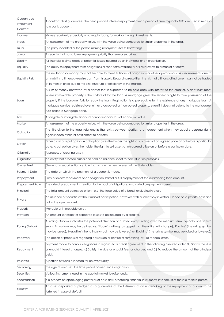| Guaranteed             | A contract that guarantees the principal and interest repayment over a period of time. Typically GIC are used in relation           |
|------------------------|-------------------------------------------------------------------------------------------------------------------------------------|
| Investment             | to a bank account.                                                                                                                  |
| Contract               |                                                                                                                                     |
| Income                 | Money received, especially on a regular basis, for work or through investments.                                                     |
| Index                  | An assessment of the property value, with the value being compared to similar properties in the area.                               |
| <b>Issuer</b>          | The party indebted or the person making repayments for its borrowings.                                                              |
| Junior                 | A security that has a lower repayment priority than senior securities.                                                              |
| Liability              | All financial claims, debts or potential losses incurred by an individual or an organisation.                                       |
| Liquidity              | The ability to repay short-term obligations or short-term availability of liquid assets to a market or entity.                      |
| Liquidity Risk         | The risk that a company may not be able to meet its financial obligations or other operational cash requirements due to             |
|                        | an inability to timeously realise cash from its assets. Regarding securities, the risk that a financial instrument cannot be traded |
|                        | at its market price due to the size, structure or efficiency of the market.                                                         |
|                        | A sum of money borrowed by a debtor that is expected to be paid back with interest to the creditor. A debt instrument               |
|                        | where immovable property is the collateral for the loan. A mortgage gives the lender a right to take possession of the              |
| Loan                   | property if the borrower fails to repay the loan. Registration is a prerequisite for the existence of any mortgage loan. A          |
|                        | mortgage can be registered over either a corporeal or incorporeal property, even if it does not belong to the mortgagee.            |
|                        | Also called a Mortgage bond.                                                                                                        |
| Loss                   | A tangible or intangible, financial or non-financial loss of economic value.                                                        |
| Market                 | An assessment of the property value, with the value being compared to similar properties in the area.                               |
| Obligation             | The title given to the legal relationship that exists between parties to an agreement when they acquire personal rights             |
|                        | against each other for entitlement to perform.                                                                                      |
| Option                 | Either a call or a put option. A call option gives the holder the right to buy assets at an agreed price on or before a particular  |
|                        | date. A put option gives the holder the right to sell assets at an agreed price on or before a particular date.                     |
| Origination            | A process of creating assets.                                                                                                       |
| Originator             | An entity that created assets and hold on balance sheet for securitisation purposes.                                                |
| Owner Trust            | Owner of a securitisation vehicle that acts in the best interest of the Noteholders.                                                |
| Payment Date           | The date on which the payment of a coupon is made.                                                                                  |
| Prepayment             | Early or excess repayment of an obligation. Partial or full prepayment of the outstanding loan amount.                              |
| <b>Prepayment Rate</b> | The rate of prepayment in relation to the pool of obligations. Also called prepayment speed.                                        |
| Principal              | The total amount borrowed or lent, e.g. the face value of a bond, excluding interest.                                               |
| Private                | An issuance of securities without market participation, however, with a select few investors. Placed on a private basis and         |
|                        | not in the open market.                                                                                                             |
| Property               | Movable or immovable asset.                                                                                                         |
| Provision              | An amount set aside for expected losses to be incurred by a creditor.                                                               |
|                        | A Rating Outlook indicates the potential direction of a rated entity's rating over the medium term, typically one to two            |
| Rating Outlook         | years. An outlook may be defined as: 'Stable' (nothing to suggest that the rating will change), 'Positive' (the rating symbol       |
|                        | may be raised), 'Negative' (the rating symbol may be lowered) or 'Evolving' (the rating symbol may be raised or lowered).           |
| Recovery               | The action or process of regaining possession or control of something lost. To recoup losses.                                       |
|                        | Payment made to honour obligations in regards to a credit agreement in the following credited order: 3.) Satisfy the due            |
| Repayment              | or unpaid interest charges; 4.) Satisfy the due or unpaid fees or charges; and 5.) To reduce the amount of the principal            |
|                        | debt.                                                                                                                               |
| Reserves               | A portion of funds allocated for an eventuality.                                                                                    |
| Seasoning              | The age of an asset, the time period passed since origination.                                                                      |
| Securities             | Various instruments used in the capital market to raise funds.                                                                      |
| Securitisation         | Is a process of repackaging portfolios of cash-flow producing financial instruments into securities for sale to third parties.      |
| Security               | An asset deposited or pledged as a guarantee of the fulfilment of an undertaking or the repayment of a loan, to be                  |
|                        | forfeited in case of default.                                                                                                       |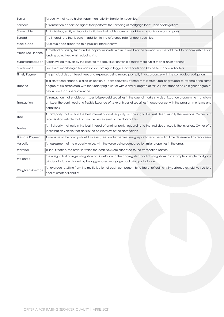| Senior                  | A security that has a higher repayment priority than junior securities.                                                                                                                                                                                                                           |  |
|-------------------------|---------------------------------------------------------------------------------------------------------------------------------------------------------------------------------------------------------------------------------------------------------------------------------------------------|--|
| Servicer                | A transaction appointed agent that performs the servicing of mortgage loans, loan or obligations.                                                                                                                                                                                                 |  |
| Shareholder             | An individual, entity or financial institution that holds shares or stock in an organisation or company.                                                                                                                                                                                          |  |
| Spread                  | The interest rate that is paid in addition to the reference rate for debt securities.                                                                                                                                                                                                             |  |
| <b>Stock Code</b>       | A unique code allocated to a publicly listed security.                                                                                                                                                                                                                                            |  |
| Structured Finance      | A method of raising funds in the capital markets. A Structured Finance transaction is established to accomplish certain<br>funding objectives whist reducing risk.                                                                                                                                |  |
| Subordinated Loan       | A loan typically given by the Issuer to the securitisation vehicle that is more junior than a junior tranche.                                                                                                                                                                                     |  |
| Surveillance            | Process of monitoring a transaction according to triggers, covenants and key performance indicators.                                                                                                                                                                                              |  |
| Timely Payment          | The principal debt, interest, fees and expenses being repaid promptly in accordance with the contractual obligation.                                                                                                                                                                              |  |
| Tranche                 | In a structured finance, a slice or portion of debt securities offered that is structured or grouped to resemble the same<br>degree of risk associated with the underlying asset or with a similar degree of risk. A junior tranche has a higher degree of<br>default risk than a senior tranche. |  |
| Transaction             | A transaction that enables an Issuer to issue debt securities in the capital markets. A debt issuance programme that allows<br>an Issuer the continued and flexible issuance of several types of securities in accordance with the programme terms and<br>conditions.                             |  |
| Trust                   | A third party that acts in the best interest of another party, according to the trust deed, usually the investors. Owner of a<br>securitisation vehicle that acts in the best interest of the Noteholders.                                                                                        |  |
| Trustee                 | A third party that acts in the best interest of another party, according to the trust deed, usually the investors. Owner of a<br>securitisation vehicle that acts in the best interest of the Noteholders.                                                                                        |  |
| Ultimate Payment        | A measure of the principal debt, interest, fees and expenses being repaid over a period of time determined by recoveries.                                                                                                                                                                         |  |
| Valuation               | An assessment of the property value, with the value being compared to similar properties in the area.                                                                                                                                                                                             |  |
| Waterfall               | In securitisation, the order in which the cash flows are allocated to the transaction parties.                                                                                                                                                                                                    |  |
| Weighted                | The weight that a single obligation has in relation to the aggregated pool of obligations. For example, a single mortgage<br>principal balance divided by the aggregated mortgage pool principal balance.                                                                                         |  |
| <b>Weighted Average</b> | An average resulting from the multiplication of each component by a factor reflecting its importance or, relative size to a<br>pool of assets or liabilities.                                                                                                                                     |  |